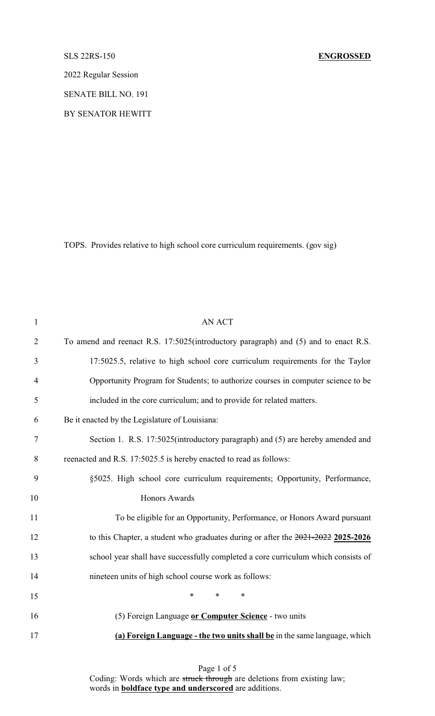## SLS 22RS-150 **ENGROSSED**

2022 Regular Session

SENATE BILL NO. 191

BY SENATOR HEWITT

TOPS. Provides relative to high school core curriculum requirements. (gov sig)

| $\mathbf{1}$   | <b>AN ACT</b>                                                                        |
|----------------|--------------------------------------------------------------------------------------|
| $\overline{2}$ | To amend and reenact R.S. 17:5025(introductory paragraph) and (5) and to enact R.S.  |
| 3              | 17:5025.5, relative to high school core curriculum requirements for the Taylor       |
| 4              | Opportunity Program for Students; to authorize courses in computer science to be     |
| 5              | included in the core curriculum; and to provide for related matters.                 |
| 6              | Be it enacted by the Legislature of Louisiana:                                       |
| $\tau$         | Section 1. R.S. 17:5025(introductory paragraph) and (5) are hereby amended and       |
| $8\,$          | reenacted and R.S. 17:5025.5 is hereby enacted to read as follows:                   |
| 9              | §5025. High school core curriculum requirements; Opportunity, Performance,           |
| 10             | Honors Awards                                                                        |
| 11             | To be eligible for an Opportunity, Performance, or Honors Award pursuant             |
| 12             | to this Chapter, a student who graduates during or after the $2021 - 2022$ 2025-2026 |
| 13             | school year shall have successfully completed a core curriculum which consists of    |
| 14             | nineteen units of high school course work as follows:                                |
| 15             | $\ast$<br>$\ast$<br>$\ast$                                                           |
| 16             | (5) Foreign Language or Computer Science - two units                                 |
| 17             | (a) Foreign Language - the two units shall be in the same language, which            |

Page 1 of 5 Coding: Words which are struck through are deletions from existing law; words in **boldface type and underscored** are additions.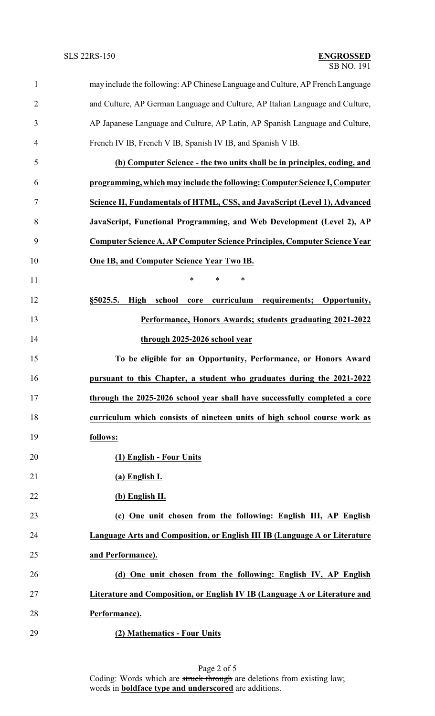| 1              | may include the following: AP Chinese Language and Culture, AP French Language |
|----------------|--------------------------------------------------------------------------------|
| $\overline{2}$ | and Culture, AP German Language and Culture, AP Italian Language and Culture,  |
| 3              | AP Japanese Language and Culture, AP Latin, AP Spanish Language and Culture,   |
| 4              | French IV IB, French V IB, Spanish IV IB, and Spanish V IB.                    |
| 5              | (b) Computer Science - the two units shall be in principles, coding, and       |
| 6              | programming, which may include the following: Computer Science I, Computer     |
| 7              | Science II, Fundamentals of HTML, CSS, and JavaScript (Level 1), Advanced      |
| 8              | JavaScript, Functional Programming, and Web Development (Level 2), AP          |
| 9              | Computer Science A, AP Computer Science Principles, Computer Science Year      |
| 10             | <b>One IB, and Computer Science Year Two IB.</b>                               |
| 11             | *<br>$\ast$<br>$\ast$                                                          |
| 12             | curriculum requirements; Opportunity,<br>High<br>school<br>§5025.5.<br>core    |
| 13             | Performance, Honors Awards; students graduating 2021-2022                      |
| 14             | through 2025-2026 school year                                                  |
| 15             | To be eligible for an Opportunity, Performance, or Honors Award                |
| 16             | pursuant to this Chapter, a student who graduates during the 2021-2022         |
| 17             | through the 2025-2026 school year shall have successfully completed a core     |
| 18             | curriculum which consists of nineteen units of high school course work as      |
| 19             | follows:                                                                       |
| 20             | (1) English - Four Units                                                       |
| 21             | (a) English I.                                                                 |
| 22             | (b) English II.                                                                |
| 23             | (c) One unit chosen from the following: English III, AP English                |
| 24             | Language Arts and Composition, or English III IB (Language A or Literature     |
| 25             | and Performance).                                                              |
| 26             | (d) One unit chosen from the following: English IV, AP English                 |
| 27             | Literature and Composition, or English IV IB (Language A or Literature and     |
| 28             | Performance).                                                                  |
| 29             | (2) Mathematics - Four Units                                                   |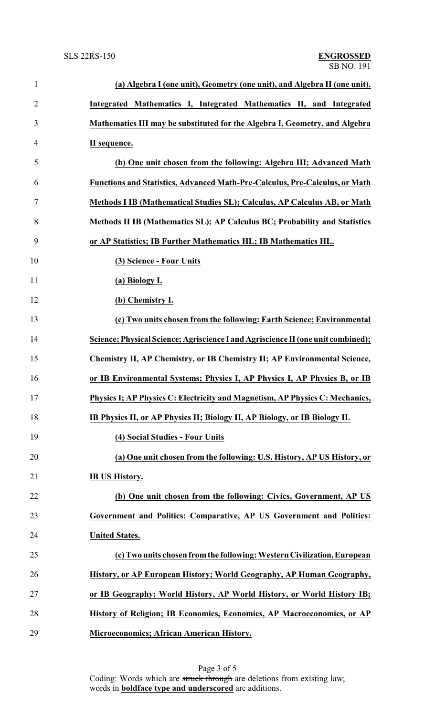| $\mathbf{1}$   | (a) Algebra I (one unit), Geometry (one unit), and Algebra II (one unit).        |
|----------------|----------------------------------------------------------------------------------|
| $\overline{2}$ | Integrated Mathematics I, Integrated Mathematics II, and Integrated              |
| 3              | Mathematics III may be substituted for the Algebra I, Geometry, and Algebra      |
| $\overline{4}$ | II sequence.                                                                     |
| 5              | (b) One unit chosen from the following: Algebra III; Advanced Math               |
| 6              | Functions and Statistics, Advanced Math-Pre-Calculus, Pre-Calculus, or Math      |
| $\tau$         | Methods I IB (Mathematical Studies SL); Calculus, AP Calculus AB, or Math        |
| 8              | Methods II IB (Mathematics SL); AP Calculus BC; Probability and Statistics       |
| 9              | or AP Statistics; IB Further Mathematics HL; IB Mathematics HL.                  |
| 10             | (3) Science - Four Units                                                         |
| 11             | (a) Biology I.                                                                   |
| 12             | (b) Chemistry I.                                                                 |
| 13             | (c) Two units chosen from the following: Earth Science; Environmental            |
| 14             | Science; Physical Science; Agriscience I and Agriscience II (one unit combined); |
| 15             | Chemistry II, AP Chemistry, or IB Chemistry II; AP Environmental Science,        |
| 16             | or IB Environmental Systems; Physics I, AP Physics I, AP Physics B, or IB        |
| 17             | Physics I; AP Physics C: Electricity and Magnetism, AP Physics C: Mechanics,     |
| 18             | IB Physics II, or AP Physics II; Biology II, AP Biology, or IB Biology II.       |
| 19             | (4) Social Studies - Four Units                                                  |
| 20             | (a) One unit chosen from the following: U.S. History, AP US History, or          |
| 21             | <b>IB US History.</b>                                                            |
| 22             | (b) One unit chosen from the following: Civics, Government, AP US                |
| 23             | Government and Politics: Comparative, AP US Government and Politics:             |
| 24             | <b>United States.</b>                                                            |
| 25             | (c) Two units chosen from the following: Western Civilization, European          |
| 26             | History, or AP European History; World Geography, AP Human Geography,            |
| 27             | or IB Geography; World History, AP World History, or World History IB;           |
| 28             | History of Religion; IB Economics, Economics, AP Macroeconomics, or AP           |
| 29             | <b>Microeconomics; African American History.</b>                                 |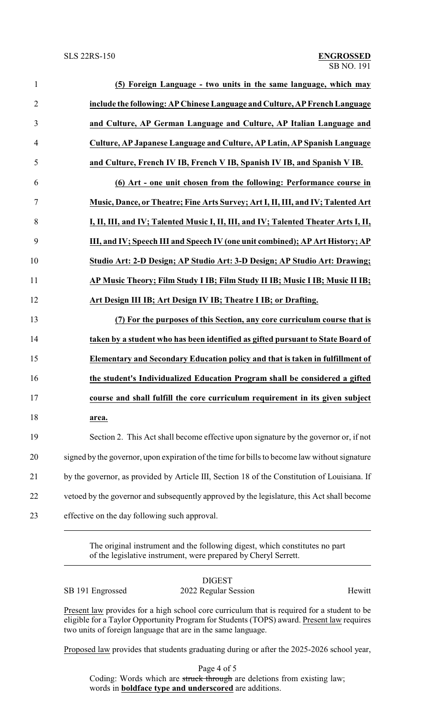| $\mathbf{1}$   | (5) Foreign Language - two units in the same language, which may                              |
|----------------|-----------------------------------------------------------------------------------------------|
| $\overline{2}$ | include the following: AP Chinese Language and Culture, AP French Language                    |
| 3              | and Culture, AP German Language and Culture, AP Italian Language and                          |
| $\overline{4}$ | Culture, AP Japanese Language and Culture, AP Latin, AP Spanish Language                      |
| 5              | and Culture, French IV IB, French V IB, Spanish IV IB, and Spanish V IB.                      |
| 6              | (6) Art - one unit chosen from the following: Performance course in                           |
| $\tau$         | Music, Dance, or Theatre; Fine Arts Survey; Art I, II, III, and IV; Talented Art              |
| 8              | I, II, III, and IV; Talented Music I, II, III, and IV; Talented Theater Arts I, II,           |
| 9              | III, and IV; Speech III and Speech IV (one unit combined); AP Art History; AP                 |
| 10             | Studio Art: 2-D Design; AP Studio Art: 3-D Design; AP Studio Art: Drawing;                    |
| 11             | AP Music Theory; Film Study I IB; Film Study II IB; Music I IB; Music II IB;                  |
| 12             | Art Design III IB; Art Design IV IB; Theatre I IB; or Drafting.                               |
| 13             | (7) For the purposes of this Section, any core curriculum course that is                      |
| 14             | taken by a student who has been identified as gifted pursuant to State Board of               |
| 15             | Elementary and Secondary Education policy and that is taken in fulfillment of                 |
| 16             | the student's Individualized Education Program shall be considered a gifted                   |
| 17             | course and shall fulfill the core curriculum requirement in its given subject                 |
| 18             | area.                                                                                         |
| 19             | Section 2. This Act shall become effective upon signature by the governor or, if not          |
| 20             | signed by the governor, upon expiration of the time for bills to become law without signature |
| 21             | by the governor, as provided by Article III, Section 18 of the Constitution of Louisiana. If  |
| 22             | vetoed by the governor and subsequently approved by the legislature, this Act shall become    |
| 23             | effective on the day following such approval.                                                 |

The original instrument and the following digest, which constitutes no part of the legislative instrument, were prepared by Cheryl Serrett.

|                  | <b>DIGEST</b>        |        |
|------------------|----------------------|--------|
| SB 191 Engrossed | 2022 Regular Session | Hewitt |

Present law provides for a high school core curriculum that is required for a student to be eligible for a Taylor Opportunity Program for Students (TOPS) award. Present law requires two units of foreign language that are in the same language.

Proposed law provides that students graduating during or after the 2025-2026 school year,

Page 4 of 5 Coding: Words which are struck through are deletions from existing law; words in **boldface type and underscored** are additions.